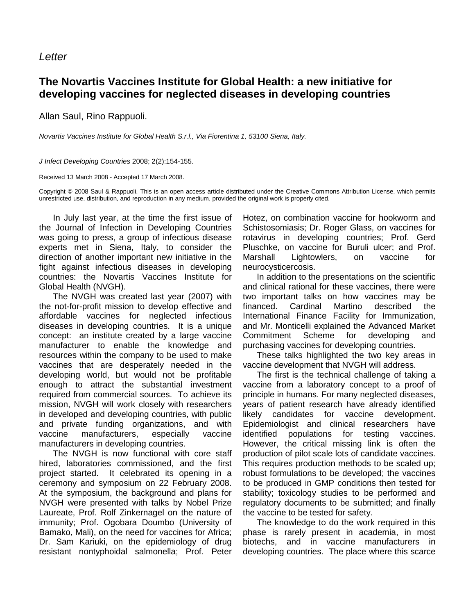## **Letter**

## **The Novartis Vaccines Institute for Global Health: a new initiative for developing vaccines for neglected diseases in developing countries**

Allan Saul, Rino Rappuoli.

Novartis Vaccines Institute for Global Health S.r.l., Via Fiorentina 1, 53100 Siena, Italy.

J Infect Developing Countries 2008; 2(2):154-155.

Received 13 March 2008 - Accepted 17 March 2008.

Copyright © 2008 Saul & Rappuoli. This is an open access article distributed under the Creative Commons Attribution License, which permits unrestricted use, distribution, and reproduction in any medium, provided the original work is properly cited.

In July last year, at the time the first issue of the Journal of Infection in Developing Countries was going to press, a group of infectious disease experts met in Siena, Italy, to consider the direction of another important new initiative in the fight against infectious diseases in developing countries: the Novartis Vaccines Institute for Global Health (NVGH).

The NVGH was created last year (2007) with the not-for-profit mission to develop effective and affordable vaccines for neglected infectious diseases in developing countries. It is a unique concept: an institute created by a large vaccine manufacturer to enable the knowledge and resources within the company to be used to make vaccines that are desperately needed in the developing world, but would not be profitable enough to attract the substantial investment required from commercial sources. To achieve its mission, NVGH will work closely with researchers in developed and developing countries, with public and private funding organizations, and with vaccine manufacturers, especially vaccine manufacturers in developing countries.

The NVGH is now functional with core staff hired, laboratories commissioned, and the first project started. It celebrated its opening in a ceremony and symposium on 22 February 2008. At the symposium, the background and plans for NVGH were presented with talks by Nobel Prize Laureate, Prof. Rolf Zinkernagel on the nature of immunity; Prof. Ogobara Doumbo (University of Bamako, Mali), on the need for vaccines for Africa; Dr. Sam Kariuki, on the epidemiology of drug resistant nontyphoidal salmonella; Prof. Peter Hotez, on combination vaccine for hookworm and Schistosomiasis; Dr. Roger Glass, on vaccines for rotavirus in developing countries; Prof. Gerd Pluschke, on vaccine for Buruli ulcer; and Prof. Marshall Lightowlers, on vaccine for neurocysticercosis.

In addition to the presentations on the scientific and clinical rational for these vaccines, there were two important talks on how vaccines may be financed. Cardinal Martino described the International Finance Facility for Immunization, and Mr. Monticelli explained the Advanced Market Commitment Scheme for developing and purchasing vaccines for developing countries.

These talks highlighted the two key areas in vaccine development that NVGH will address.

The first is the technical challenge of taking a vaccine from a laboratory concept to a proof of principle in humans. For many neglected diseases, years of patient research have already identified likely candidates for vaccine development. Epidemiologist and clinical researchers have identified populations for testing vaccines. However, the critical missing link is often the production of pilot scale lots of candidate vaccines. This requires production methods to be scaled up; robust formulations to be developed; the vaccines to be produced in GMP conditions then tested for stability; toxicology studies to be performed and regulatory documents to be submitted; and finally the vaccine to be tested for safety.

The knowledge to do the work required in this phase is rarely present in academia, in most biotechs, and in vaccine manufacturers in developing countries. The place where this scarce